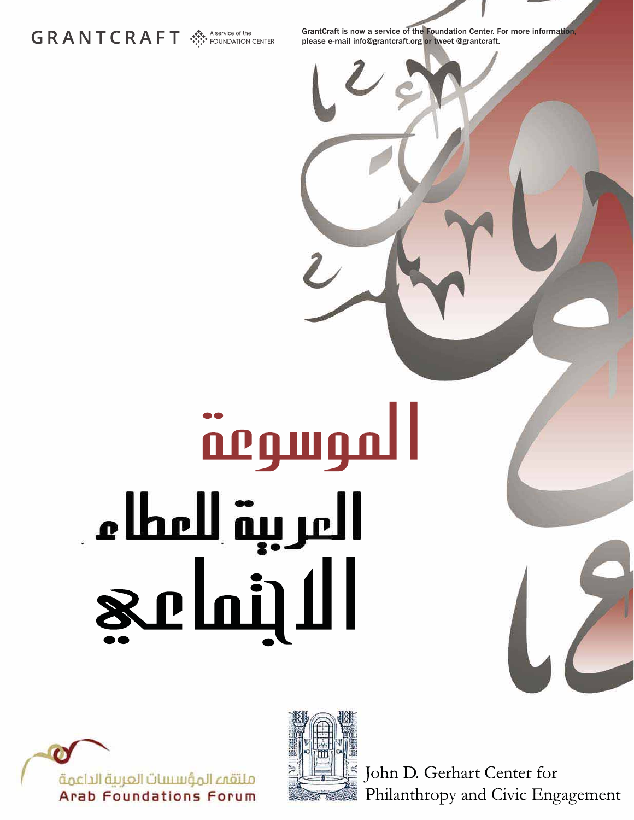# GRANTCRAFT SA POUNDATION CENTER

GrantCraft is now a service of the Foundation Center. For more information, please e-mail info@grantcraft.org or tweet @grantcraft.

# <u> மழியர் ம</u> المرببة للمطام **Schill**





John D. Gerhart Center for Philanthropy and Civic Engagement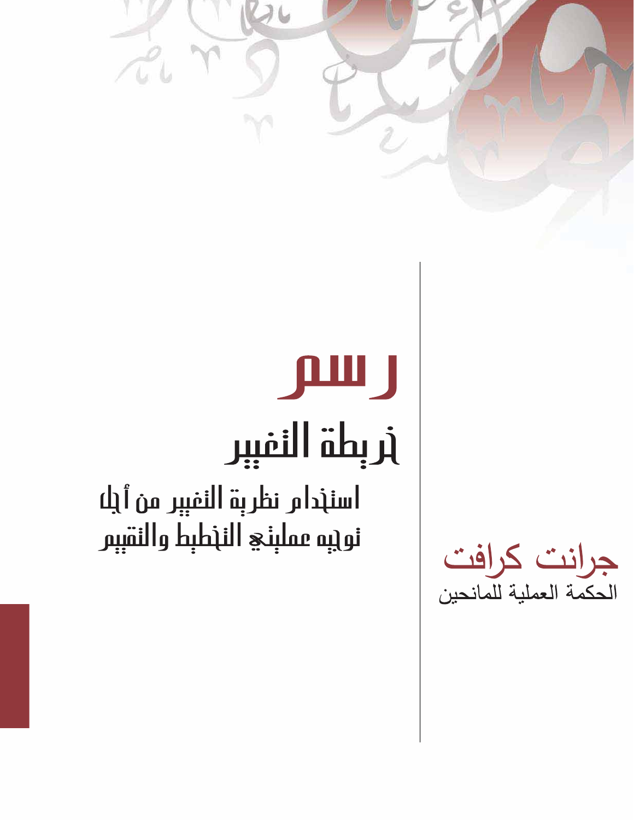# дш ј أربطة النفيبر اسنخدام نظربة النفيبر من أيلا نويبه مملبني النخطبط والنقببر

TU

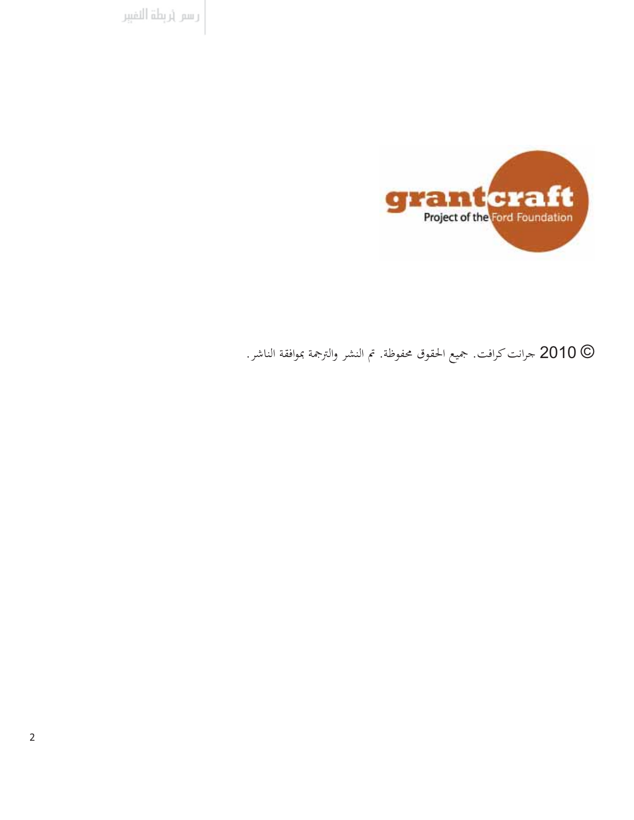رسر إربطة النفيبر



2010 جرانت كرافت. جميع الحقوق محفوظة. تم النشر والترجمة بموافقة الناشر.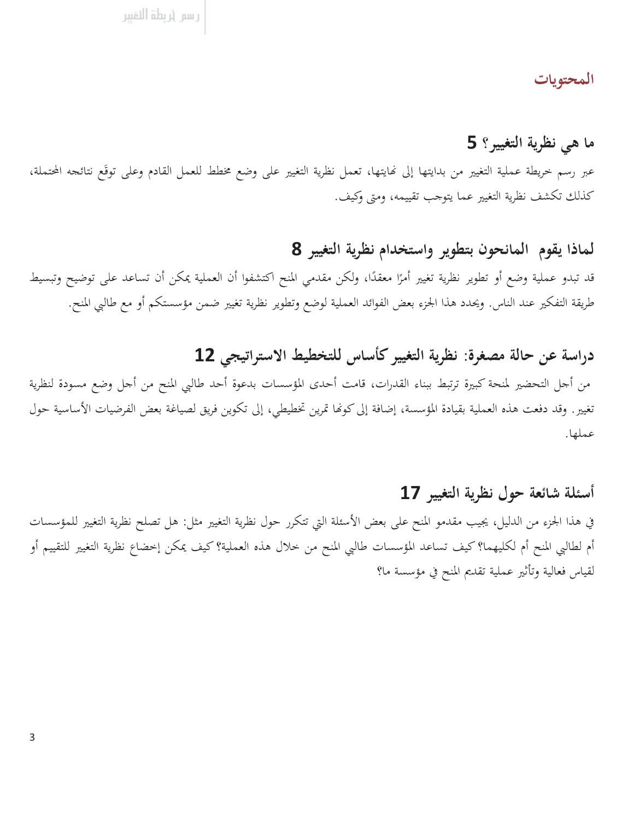#### المحتويات

# ما هي نظرية التغيير؟ 5

عبر رسم خريطة عملية التغيير من بدايتها إلى نمايتها، تعمل نظرية التغيير على وضع مخطط للعمل القادم وعلى توقَع نتائجه المحتملة، كذلك تكشف نظرية التغيير عما يتوجب تقييمه، ومتى وكيف.

#### لماذا يقوم المانحون بتطوير واستخدام نظرية التغيير 8

قد تبدو عملية وضع أو تطوير نظرية تغيير أمرًا معقدًا، ولكن مقدمي المنح اكتشفوا أن العملية يمكن أن تساعد على توضيح وتبسيط طريقة التفكير عند الناس. ويحدد هذا الجزء بعض الفوائد العملية لوضع وتطوير نظرية تغيير ضمن مؤسستكم أو مع طالبي المنح.

# دراسة عن حالة مصغرة: نظرية التغيير كأساس للتخطيط الاستراتيجي 12

من أجل التحضير لمنحة كبيرة ترتبط ببناء القدرات، قامت أحدى المؤسسات بدعوة أحد طالبي المنح من أجل وضع مسودة لنظرية تغيير. وقد دفعت هذه العملية بقيادة المؤسسة، إضافة إلى كونها تمرين تخطيطي، إلى تكوين فريق لصياغة بعض الفرضيات الأساسية حول عملها.

#### أسئلة شائعة حول نظرية التغيير 17

في هذا الجزء من الدليل، يجيب مقدمو المنح على بعض الأسئلة التي تتكرر حول نظرية التغيير مثل: هل تصلح نظرية التغيير للمؤسسات أم لطالبي المنح أم لكليهما؟ كيف تساعد المؤسسات طالبي المنح من خلال هذه العملية؟ كيف يمكن إخضاع نظرية التغيير للتقييم أو لقياس فعالية وتأثير عملية تقديم المنح في مؤسسة ما؟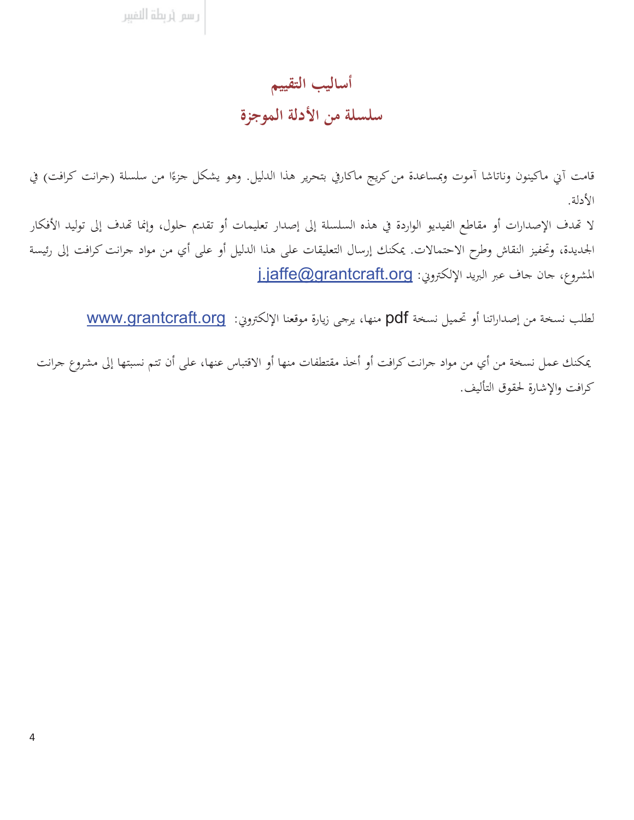رسم أربطة النفببر

### أساليب التقييم

# سلسلة من الأدلة الموجزة

قامت أني ماكينون وناتاشا أموت وبمساعدة من كريج ماكارفي بتحرير هذا الدليل. وهو يشكل جزءًا من سلسلة (جرانت كرافت) في الأدلة.

لا تهدف الإصدارات أو مقاطع الفيديو الواردة في هذه السلسلة إلى إصدار تعليمات أو تقديم حلول، وإنما تهدف إلى توليد الأفكار الجديدة، وتحفيز النقاش وطرح الاحتمالات. يمكنك إرسال التعليقات على هذا الدليل أو على أي من مواد جرانت كرافت إلى رئيسة المشروع، حان حاف عبر البريد الإلكتروني: jaffe@grantcraft.org

لطلب نسخة من إصداراتنا أو تحميل نسخة pdf منها، يرجى زيارة موقعنا الإلكتروني: www.grantcraft.org

يمكنك عمل نسخة من أي من مواد جرانت كرافت أو أخذ مقتطفات منها أو الاقتباس عنها، على أن تتم نسبتها إلى مشروع جرانت كرافت والاشارة لحقوق التأليف.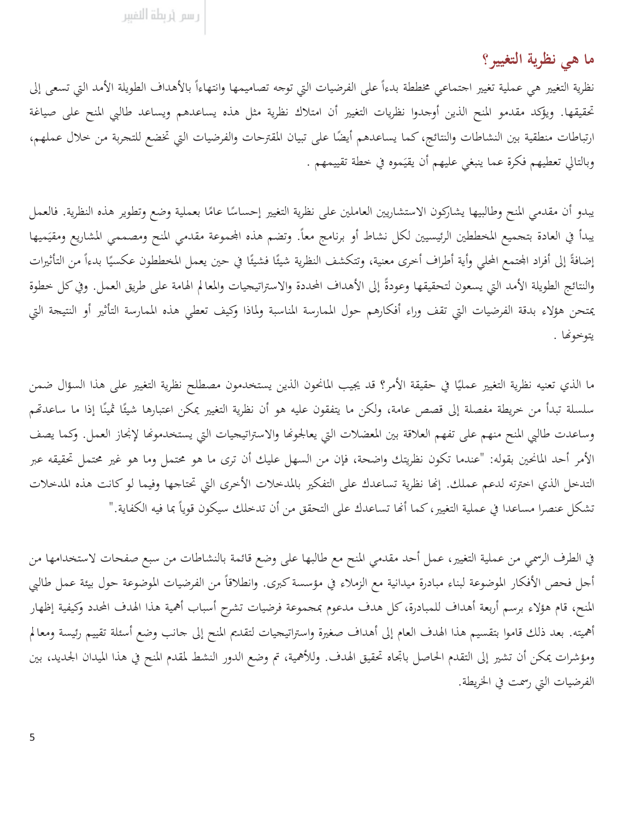#### ما هي نظرية التغيير؟

نظرية التغيير هي عملية تغيير احتماعي مخططة بدءاً على الفرضيات التي توحه تصاميمها وانتهاءاً بالأهداف الطويلة الأمد التي تسعى إلى تحقيقها. ويؤكد مقدمو المنح الذين أوحدوا نظريات التغيير أن امتلاك نظرية مثل هذه يساعدهم ويساعد طالبي المنح على صياغة ارتباطات منطقية بين النشاطات والنتائج، كما يساعدهم أيضًا على تبيان المقترحات والفرضيات التي تخضع للتحربة من خلال عملهم، وبالتالي تعطيهم فكرة عما ينبغي عليهم أن يقيَموه في خطة تقييمهم .

يبدو أن مقدمي المنح وطالبيها يشاركون الاستشاريين العاملين على نظرية التغيير إحساسًا عامًا بعملية وضع وتطوير هذه النظرية. فالعمل يبدأ في العادة بتحميع المخططين الرئيسيين لكل نشاط أو برنامج معاً. وتضم هذه المحموعة مقدمي المنح ومصممي المشاريع ومقيَميها إضافةً إلى أفراد المحتمع المحلي وأية أطراف أخرى معنية، وتتكشف النظرية شيئًا فشيئًا في حين يعمل المخططون عكسيًا بدءاً من التأثيرات والنتائج الطويلة الأمد التي يسعون لتحقيقها وعودةً إلى الأهداف المحددة والاستراتيجيات والمعالم الهامة على طريق العمل. وفي كل خطوة يمتحن هؤلاء بدقة الفرضيات التي تقف وراء أفكارهم حول الممارسة المناسبة ولماذا وكيف تعطي هذه الممارسة التأثير أو النتيحة التي يتوخونها .

ما الذي تعنيه نظرية التغيير عمليًا في حقيقة الأمر؟ قد يجيب المانحون الذين يستخدمون مصطلح نظرية التغيير على هذا السؤال ضمن سلسلة تبدأ من خريطة مفصلة إلى قصص عامة، ولكن ما يتفقون عليه هو أن نظرية التغيير يمكن اعتبارها شيئًا ڤمينًا إذا ما ساعدتهم وساعدت طالبي المنح منهم على تفهم العلاقة بين المعضلات التي يعالجونها والاستراتيجيات التي يستخدمونها لإنحاز العمل. وكما يصف الأمر أحد المانحين بقوله: "عندما تكون نظريتك واضحة، فإن من السهل عليك أن ترى ما هو محتمل وما هو غير محتمل تحقيقه عبر التدخل الذي اخترته لدعم عملك. إنَّما نظرية تساعدك على التفكير بالمدخلات الأخرى التي تحتاجها وفيما لو كانت هذه المدخلات تشكل عنصرا مساعدا في عملية التغيير، كما أنَّا تساعدك على التحقق من أن تدخلك سيكون قوياً بما فيه الكفاية."

في الطرف الرسمي من عملية التغيير، عمل أحد مقدمي المنح مع طالبها على وضع قائمة بالنشاطات من سبع صفحات لاستخدامها من أجل فحص الأفكار الموضوعة لبناء مبادرة ميدانية مع الزملاء في مؤسسة كبرى. وانطلاقاً من الفرضيات الموضوعة حول بيئة عمل طالبي المنح، قام هؤلاء برسم أربعة أهداف للمبادرة، كل هدف مدعوم بمحموعة فرضيات تشرح أسباب أهمية هذا الهدف المحدد وكيفية إظهار أهميته. بعد ذلك قاموا بتقسيم هذا الهدف العام إلى أهداف صغيرة واستراتيجيات لتقديم المنح إلى حانب وضع أسئلة تقييم رئيسة ومعالم ومؤشرات يمكن أن تشير إلى التقدم الحاصل باتجاه تحقيق الهدف. وللأهمية، تم وضع الدور النشط لمقدم المنح في هذا الميدان الجديد، بين الفرضيات التي رسمت في الخريطة.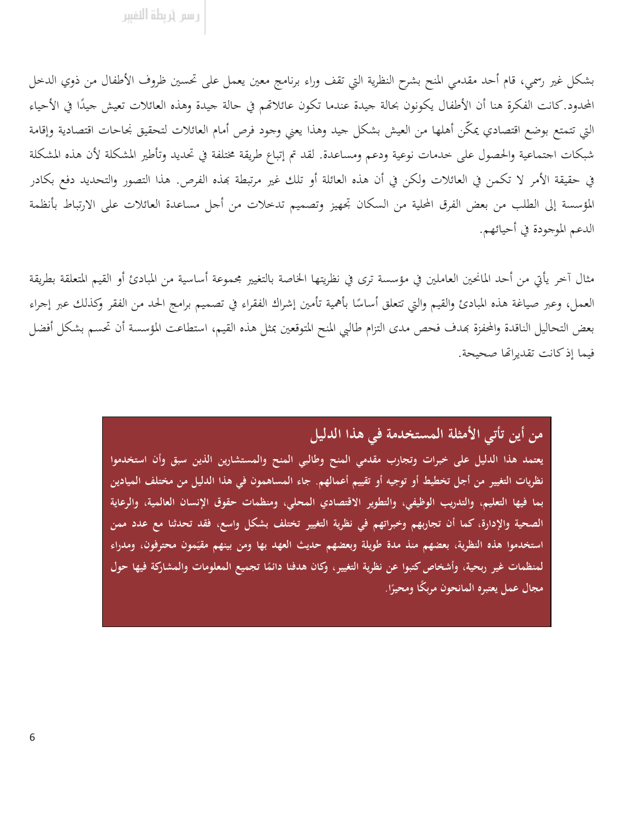بشكل غير رسمي، قام أحد مقدمي المنح بشرح النظرية التي تقف وراء برنامج معين يعمل على تحسين ظروف الأطفال من ذوي الدحل المحدود.كانت الفكرة هنا أن الأطفال يكونون بحالة جيدة عندما تكون عائلاتهم في حالة جيدة وهذه العائلات تعيش جيدًا في الأحياء التي تتمتع بوضع اقتصادي يمكّن أهلها من العيش بشكل جيد وهذا يعني وجود فرص أمام العائلات لتحقيق نحاحات اقتصادية وإقامة شبكات اجتماعية والحصول على حدمات نوعية ودعم ومساعدة. لقد تم إتباع طريقة مختلفة في تحديد وتأطير المشكلة لأن هذه المشكلة في حقيقة الأمر لا تكمن في العائلات ولكن في أن هذه العائلة أو تلك غير مرتبطة بمذه الفرص. هذا التصور والتحديد دفع بكادر المؤسسة إلى الطلب من بعض الفرق المحلية من السكان تجهيز وتصميم تدحلات من أجل مساعدة العائلات على الارتباط بأنظمة الدعم الموجودة في أحيائهم.

مثال آخر يأتي من أحد المانحين العاملين في مؤسسة ترى في نظريتها الخاصة بالتغيير محموعة أساسية من المبادئ أو القيم المتعلقة بطريقة العمل، وعبر صياغة هذه المبادئ والقيم والتي تتعلق أساسًا بأهمية تأمين إشراك الفقراء في تصميم برامج الحد من الفقر وكذلك عبر إجراء بعض التحاليل الناقدة والمحفزة بهدف فحص مدى التزام طالبي المنح المتوقعين بمثل هذه القيم، استطاعت المؤسسة أن تحسم بشكل أفضل فيما إذ كانت تقديراتها صحيحة.

من أين تأتي الأمثلة المستخدمة في هذا الدليل

يعتمد هذا الدليل على خبرات وتجارب مقدمى المنح وطالبي المنح والمستشارين الذين سبق وأن استخدموا نظريات التغيير من أجل تخطيط أو توجيه أو تقييم أعمالهم. جاء المساهمون في هذا الدليل من مختلف الميادين بما فيها التعليم، والتدريب الوظيفي، والتطوير الاقتصادي المحلي، ومنظمات حقوق الإنسان العالمية، والرعاية الصحية والإدارة، كما أن تجاربهم وخبراتهم في نظرية التغيير تختلف بشكل واسع، فقد تحدثنا مع عدد ممن استخدموا هذه النظرية، بعضهم منذ مدة طويلة وبعضهم حديث العهد بها ومن بينهم مقيَمون محترفون، ومدراء لمنظمات غير ربحية، وأشخاص كتبوا عن نظرية التغيير، وكان هدفنا دائمًا تجميع المعلومات والمشاركة فيها حول مجال عمل يعتبره المانحون مربكًا ومحيرًا.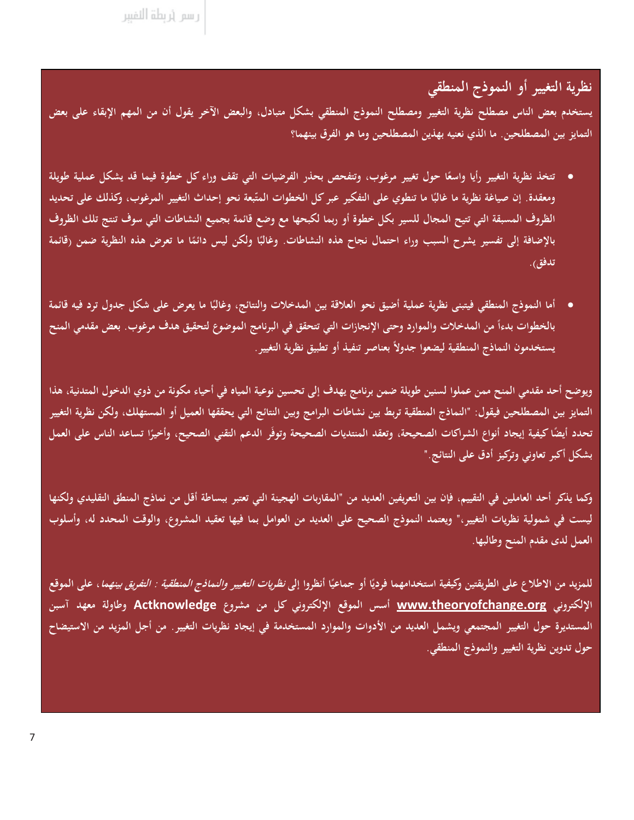ر سم (ربطة النفيبر

نظرية التغيير أو النموذج المنطقي

يستخدم بعض الناس مصطلح نظرية التغيير ومصطلح النموذج المنطقي بشكل متبادل، والبعض الآخر يقول أن من المهم الإبقاء على بعض التمايز بين المصطلحين. ما الذي نعنيه بهذين المصطلحين وما هو الفرق بينهما؟

- تتخذ نظرية التغيير رأيا واسعًا حول تغيير مرغوب، وتتفحص بحذر الفرضيات التي تقف وراء كل خطوة فيما قد يشكل عملية طويلة ومعقدة. إن صياغة نظرية ما غالبًا ما تنطوي على التفكير عبر كل الخطوات المتّبعة نحو إحداث التغيير المرغوب، وكذلك على تحديد الظروف المسبقة التي تتيح المجال للسير بكل خطوة أو ربما لكبحها مع وضع قائمة بجميع النشاطات التي سوف تنتج تلك الظروف بالإضافة إلى تفسير يشرح السبب وراء احتمال نجاح هذه النشاطات. وغالبًا ولكن ليس دائمًا ما تعرض هذه النظرية ضمن (قائمة تدفق).
- أما النموذج المنطقي فيتبنى نظرية عملية أضيق نحو العلاقة بين المدخلات والنتائج، وغالبًا ما يعرض على شكل جدول ترد فيه قائمة بالخطوات بدءاً من المدخلات والموارد وحتى الإنجازات التي تتحقق في البرنامج الموضوع لتحقيق هدف مرغوب. بعض مقدمي المنح يستخدمون النماذج المنطقية ليضعوا جدولاً بعناصر تنفيذ أو تطبيق نظرية التغيير .

ويوضح أحد مقدمي المنح ممن عملوا لسنين طويلة ضمن برنامج يهدف إلى تحسين نوعية المياه في أحياء مكونة من ذوي الدخول المتدنية، هذا التمايز بين المصطلحين فيقول: "النماذج المنطقية تربط بين نشاطات البرامج وبين النتائج التي يحققها العميل أو المستهلك، ولكن نظرية التغيير تحدد أيضًا كيفية إيجاد أنواع الشراكات الصحيحة، وتعقد المنتديات الصحيحة وتوفّر الدعم التقنى الصحيح، وأخيرًا تساعد الناس على العمل بشكل أكبر تعاوني وتركيز أدق على النتائج."

وكما يذكر أحد العاملين في التقييم، فإن بين التعريفين العديد من "المقاربات الهجينة التي تعتبر ببساطة أقل من نماذج المنطق التقليدي ولكنها ليست في شمولية نظريات التغيير،" ويعتمد النموذج الصحيح على العديد من العوامل بما فيها تعقيد المشروع، والوقت المحدد له، وأسلوب العمل لدى مقدم المنح وطالبها.

للمزيد من الاطلاع على الطريقتين وكيفية استخدامهما فرديًا أو جماعيًا أنظروا إلى *نظريات التغيير والنماذج المنطقية : التفريق بينهما* ، على الموقع الإلكتروني www.theoryofchange.org أسس الموقع الإلكتروني كل من مشروع Actknowledge وطاولة معهد آسبن المستديرة حول التغيير المجتمعي ويشمل العديد من الأدوات والموارد المستخدمة في إيجاد نظريات التغيير . من أجل المزيد من الاستيضاح حول تدوين نظرية التغيير والنموذج المنطقي.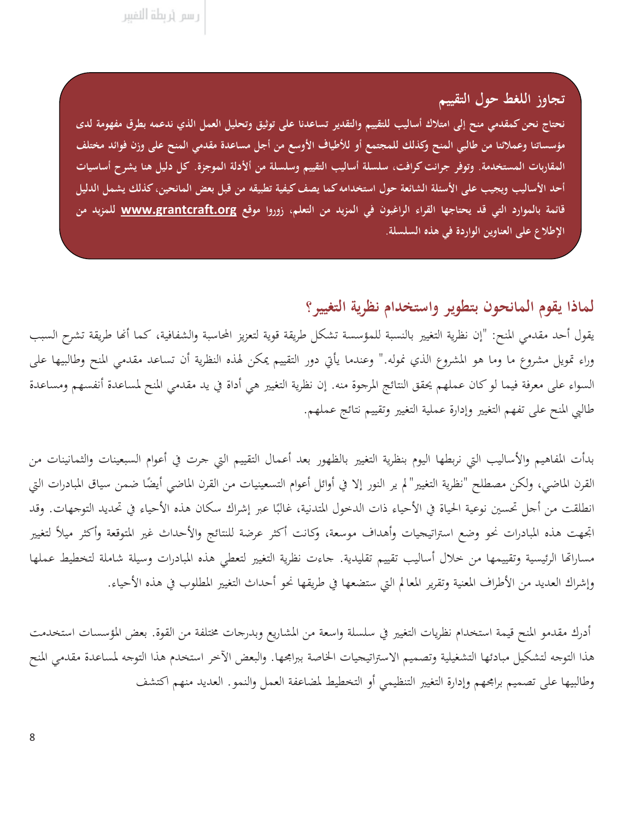ر سم (ربطة النفيبر

تجاوز اللغط حول التقييم نحتاج نحن كمقدمي منح إلى امتلاك أساليب للتقييم والتقدير تساعدنا على توثيق وتحليل العمل الذي ندعمه بطرق مفهومة لدى مؤسساتنا وعملائنا من طالبي المنح وكذلك للمجتمع أو للأطياف الأوسع من أجل مساعدة مقدمي المنح على وزن فوائد مختلف المقاربات المستخدمة. وتوفر جرانت كرافت، سلسلة أساليب التقييم وسلسلة من ألأدلة الموجزة. كل دليل هنا يشرح أساسيات أحد الأساليب ويجيب على الأسئلة الشائعة حول استخدامه كما يصف كيفية تطبيقه من قبل بعض المانحين، كذلك يشمل الدليل قائمة بالموارد التي قد يحتاجها القراء الراغبون في المزيد من التعلم، زوروا موقع <u>www.grantcraft.org</u> للمزيد من الإطلاع على العناوين الواردة في هذه السلسلة.

#### لماذا يقوم المانحون بتطوير واستخدام نظرية التغيير؟

يقول أحد مقدمي المنح: "إن نظرية التغيير بالنسبة للمؤسسة تشكل طريقة قوية لتعزيز المحاسبة والشفافية، كما أنها طريقة تشرح السبب وراء تمويل مشروع ما وما هو المشروع الذي نموله." وعندما يأتي دور التقييم يمكن لهذه النظرية أن تساعد مقدمي المنح وطالبيها على السواء على معرفة فيما لو كان عملهم يحقق النتائج المرجوة منه. إن نظرية التغيير هي أداة في يد مقدمي المنح لمساعدة أنفسهم ومساعدة طالبي المنح على تفهم التغيير وإدارة عملية التغيير وتقييم نتائج عملهم.

بدأت المفاهيم والأساليب التي نربطها اليوم بنظرية التغيير بالظهور بعد أعمال التقييم التي حرت في أعوام السبعينات والثمانينات من القرن الماضي، ولكن مصطلح "نظرية التغيير"لم ير النور إلا في أوائل أعوام التسعينيات من القرن الماضي أيضًا ضمن سياق المبادرات التي انطلقت من أحل تحسين نوعية الحياة في الأحياء ذات الدخول المتدنية، غالبًا عبر إشراك سكان هذه الأحياء في تحديد التوجهات. وقد اتجهت هذه المبادرات نحو وضع استراتيجيات وأهداف موسعة، وكانت أكثر عرضة للنتائج والأحداث غير المتوقعة وأكثر ميلأ لتغيير مساراتها الرئيسية وتقييمها من خلال أساليب تقييم تقليدية. حاءت نظرية التغيير لتعطي هذه المبادرات وسيلة شاملة لتخطيط عملها وإشراك العديد من الأطراف المعنية وتقرير المعالم التي ستضعها في طريقها نحو أحداث التغيير المطلوب في هذه الأحياء.

أدرك مقدمو المنح قيمة استخدام نظريات التغيير في سلسلة واسعة من المشاريع وبدرجات مختلفة من القوة. بعض المؤسسات استخدمت هذا التوحه لتشكيل مبادئها التشغيلية وتصميم الاستراتيجيات الخاصة ببرامجها. والبعض الآخر استخدم هذا التوحه لمساعدة مقدمي المنح وطالبيها على تصميم برابحهم وإدارة التغيير التنظيمي أو التخطيط لمضاعفة العمل والنمو. العديد منهم اكتشف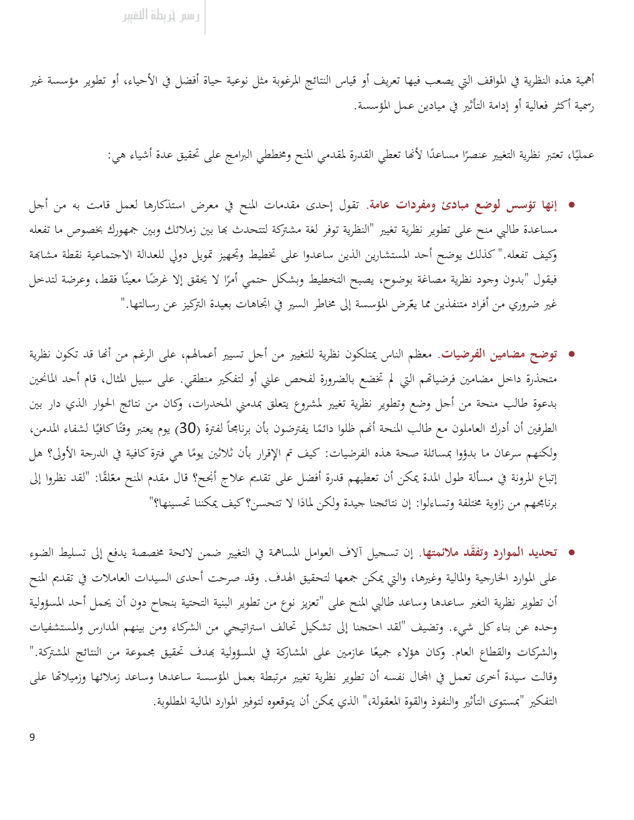أهمية هذه النظرية في المواقف التي يصعب فيها تعريف أو قياس النتائج المرغوبة مثل نوعية حياة أفضل في الأحياء، أو تطوير مؤسسة غير رسمية أكثر فعالية أو إدامة التأثير في ميادين عمل المؤسسة.

عمليًا، تعتبر نظرية التغيير عنصرًا مساعدًا لأنَّما تعطي القدرة لمقدمي المنح ومخططي البرامج على تحقيق عدة أشياء هي:

- إنها تؤسس لوضع مبادئ ومفردات عامة. تقول إحدى مقدمات المنح في معرض استذكارها لعمل قامت به من أجل مساعدة طالبي منح على تطوير نظرية تغيير "النظرية توفر لغة مشتركة لتتحدث بما بين زملائك وبين جمهورك بخصوص ما تفعله وكيف تفعله." كذلك يوضح أحد المستشارين الذين ساعدوا على تخطيط وتحهيز تمويل دولي للعدالة الاجتماعية نقطة مشابحة فيقول "بدون وجود نظرية مصاغة بوضوح، يصبح التخطيط وبشكل حتمي أمرًا لا يحقق إلا غرضًا معينًا فقط، وعرضة لتدخل غير ضروري من أفراد متنفذين مما يعّرض المؤسسة إلى مخاطر السير في اتجاهات بعيدة التركيز عن رسالتها."
- توضح مضامين الفرضيات. معظم الناس يمتلكون نظرية للتغيير من أجل تسيير أعمالهم، على الرغم من أنَّما قد تكون نظرية متحذرة داخل مضامين فرضياتهم التي لم تخضع بالضرورة لفحص علني أو لتفكير منطقى. على سبيل المثال، قام أحد المانحين بدعوة طالب منحة من أحل وضع وتطوير نظرية تغيير لمشروع يتعلق بمدمني المخدرات، وكان من نتائج الحوار الذي دار بين الطرفين أن أدرك العاملون مع طالب المنحة أنهم ظلوا دائمًا يفترضون بأن برنامجاً لفترة (30) يوم يعتبر وقتًا كافيًا لشفاء المدمن، ولكنهم سرعان ما بدؤوا بمسائلة صحة هذه الفرضيات: كيف تم الإقرار بأن ثلاثين يومًا هي فترة كافية في الدرجة الأولى؟ هل إتباع المرونة في مسألة طول المدة يمكن أن تعطيهم قدرة أفضل على تقديم علاج أنجح؟ قال مقدم المنح معّلقًا: "لقد نظروا إلى برنامجهم من زاوية مختلفة وتساءلوا: إن نتائجنا جيدة ولكن لماذا لا تتحسن؟ كيف يمكننا تحسينها؟"
- تحديد الموارد وتفقَّد ملائمتها. إن تسجيل آلاف العوامل المساهمة في التغيير ضمن لائحة مخصصة يدفع إلى تسليط الضوء على الموارد الخارجية والمالية وغيرها، والتي يمكن جمعها لتحقيق الهدف. وقد صرحت أحدى السيدات العاملات في تقديم المنح أن تطوير نظرية التغير ساعدها وساعد طالبي المنح على "تعزيز نوع من تطوير البنية التحتية بنحاح دون أن يحمل أحد المسؤولية وحده عن بناء كل شيء. وتضيف "لقد احتجنا إلى تشكيل تحالف استراتيجي من الشركاء ومن بينهم المدارس والمستشفيات والشركات والقطاع العام. وكان هؤلاء جميعًا عازمين على المشاركة في المسؤولية بمدف تحقيق مجموعة من النتائج المشتركة." وقالت سيدة أخرى تعمل في المحال نفسه أن تطوير نظرية تغيير مرتبطة بعمل المؤسسة ساعدها وساعد زملائها وزميلاتها على التفكير "بمستوى التأثير والنفوذ والقوة المعقولة،" الذي يمكن أن يتوقعوه لتوفير الموارد المالية المطلوبة.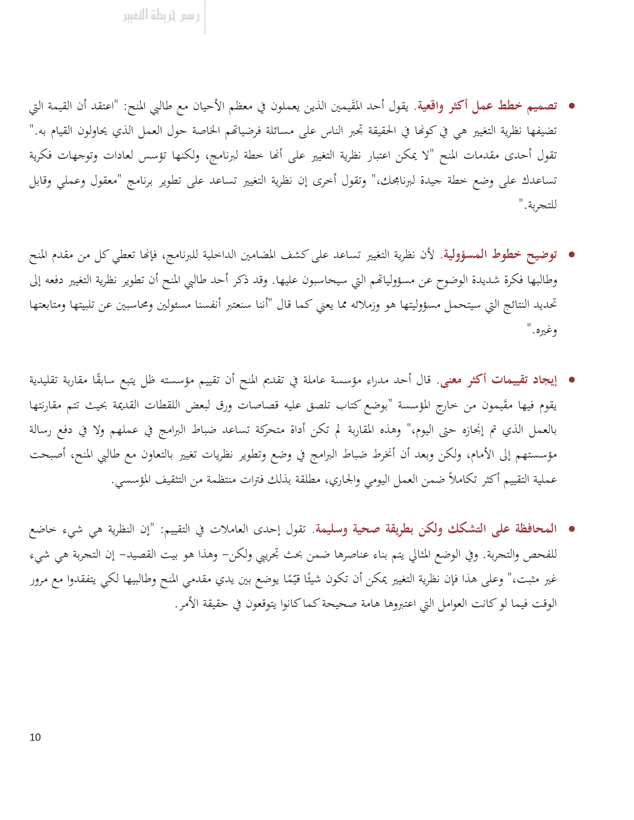- تصميم خطط عمل أكثر واقعية. يقول أحد المقَيمين الذين يعملون في معظم الأحيان مع طالبي المنح: "اعتقد أن القيمة التي تضيفها نظرية التغيير هي في كونَّما في الحقيقة تجبر الناس على مسائلة فرضياتهم الخاصة حول العمل الذي يحاولون القيام به." تقول أحدى مقدمات المنح "لا يمكن اعتبار نظرية التغيير على أنها خطة لبرنامج، ولكنها تؤسس لعادات وتوجهات فكرية تساعدك على وضع حطة جيدة لبرنامجك،" وتقول أخرى إن نظرية التغيير تساعد على تطوير برنامج "معقول وعملي وقابل للتجربة."
- توضيح خطوط المسؤولية. لأن نظرية التغيير تساعد على كشف المضامين الداخلية للبرنامج، فإنها تعطي كل من مقدم المنح وطالبها فكرة شديدة الوضوح عن مسؤولياتهم التي سيحاسبون عليها. وقد ذكر أحد طالبي المنح أن تطوير نظرية التغيير دفعه إلى تحديد النتائج التي سيتحمل مسؤوليتها هو وزملائه مما يعني كما قال "أننا سنعتبر أنفسنا مسئولين ومحاسبين عن تلبيتها ومتابعتها وغيره."
- إيجاد تقييمات أكثو معنى. قال أحد مدراء مؤسسة عاملة في تقديم المنح أن تقييم مؤسسته ظل يتبع سابقًا مقاربة تقليدية يقوم فيها مقَيمون من خارج المؤسسة "بوضع كتاب تلصق عليه قصاصات ورق لبعض اللقطات القديمة بحيث تتم مقارنتها بالعمل الذي تم إنجازه حتى اليوم،" وهذه المقاربة لم تكن أداة متحركة تساعد ضباط البرامج في عملهم ولا في دفع رسالة مؤسستهم إلى الأمام، ولكن وبعد أن أنخرط ضباط البرامج في وضع وتطوير نظريات تغيير بالتعاون مع طالبي المنح، أصبحت عملية التقييم أكثر تكاملاً ضمن العمل اليومي والجاري، مطلقة بذلك فترات منتظمة من التثقيف المؤسسي.
- المحافظة على التشكك ولكن بطريقة صحية وسليمة. تقول إحدى العاملات في التقييم: "إن النظرية هي شيء حاضع للفحص والتحربة. وفي الوضع المثالي يتم بناء عناصرها ضمن بحث تحريبي ولكن– وهذا هو بيت القصيد– إن التحربة هي شيء غير مثبت،" وعلى هذا فإن نظرية التغيير يمكن أن تكون شيئًا قيّمًا يوضع بين يدي مقدمي المنح وطالبيها لكي يتفقدوا مع مرور الوقت فيما لو كانت العوامل التي اعتبروها هامة صحيحة كما كانوا يتوقعون في حقيقة الأمر.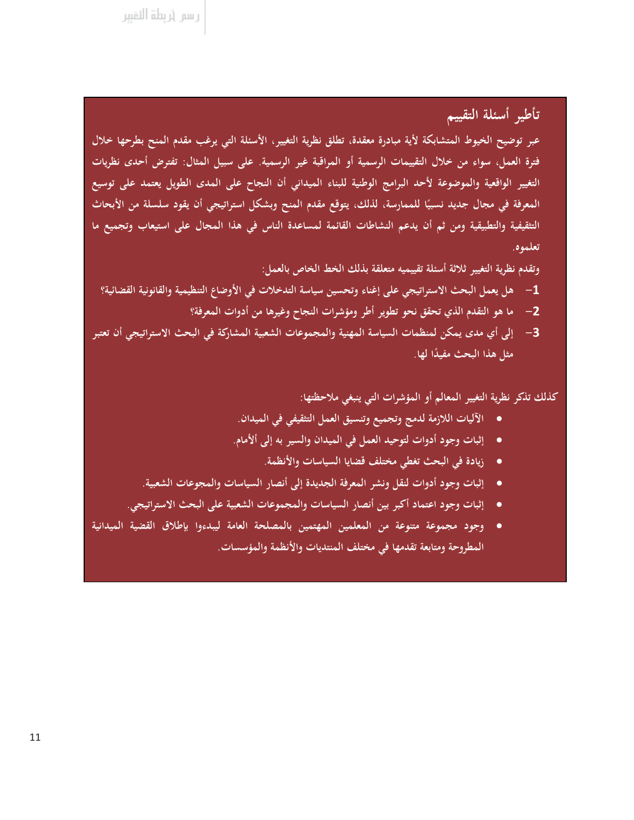ر سم (ربطة النفيبر

#### تأطير أسئلة التقييم

عبر توضيح الخيوط المتشابكة لأية مبادرة معقدة، تطلق نظرية التغيير، الأسئلة التي يرغب مقدم المنح بطرحها خلال فترة العمل، سواء من خلال التقييمات الرسمية أو المراقبة غير الرسمية. على سبيل المثال: تفترض أحدى نظريات التغيير الواقعية والموضوعة لأحد البرامج الوطنية للبناء الميداني أن النجاح على المدى الطويل يعتمد على توسيع المعرفة في مجال جديد نسبيًا للممارسة، لذلك، يتوقع مقدم المنح وبشكل استراتيجي أن يقود سلسلة من الأبحاث التثقيفية والتطبيقية ومن ثم أن يدعم النشاطات القائمة لمساعدة الناس في هذا المجال على استيعاب وتجميع ما تعلموه.

وتقدم نظرية التغيير ثلاثة أسئلة تقييميه متعلقة بذلك الخط الخاص بالعمل:

- 1— هل يعمل البحث الاستراتيجي على إغناء وتحسين سياسة التدخلات في الأوضاع التنظيمية والقانونية القضائية؟
	- 2– ما هو التقدم الذي تحقق نحو تطوير أطر ومؤشرات النجاح وغيرها من أدوات المعرفة؟
- إلى أي مدى يمكن لمنظمات السياسة المهنية والمجموعات الشعبية المشاركة في البحث الاستراتيجي أن تعتبر -3 مثل هذا البحث مفيدًا لها.

كذلك تذكر نظرية التغيير المعالم أو المؤشرات التي ينبغي ملاحظتها:

- الآليات اللازمة لدمج وتجميع وتنسيق العمل التثقيفي في الميدان.
- إثبات وجود أدوات لتوحيد العمل في الميدان والسير به إلى ألأمام.
	- زيادة في البحث تغطي مختلف قضايا السياسات والأنظمة.
- إثبات وجود أدوات لنقل ونشر المعرفة الجديدة إلى أنصار السياسات والمجوعات الشعبية.
- إثبات وجود اعتماد أكبر بين أنصار السياسات والمجموعات الشعبية على البحث الاستراتيجي.
- وجود مجموعة متنوعة من المعلمين المهتمين بالمصلحة العامة ليبدءوا بإطلاق القضية الميدانية المطروحة ومتابعة تقدمها في مختلف المنتديات والأنظمة والمؤسسات.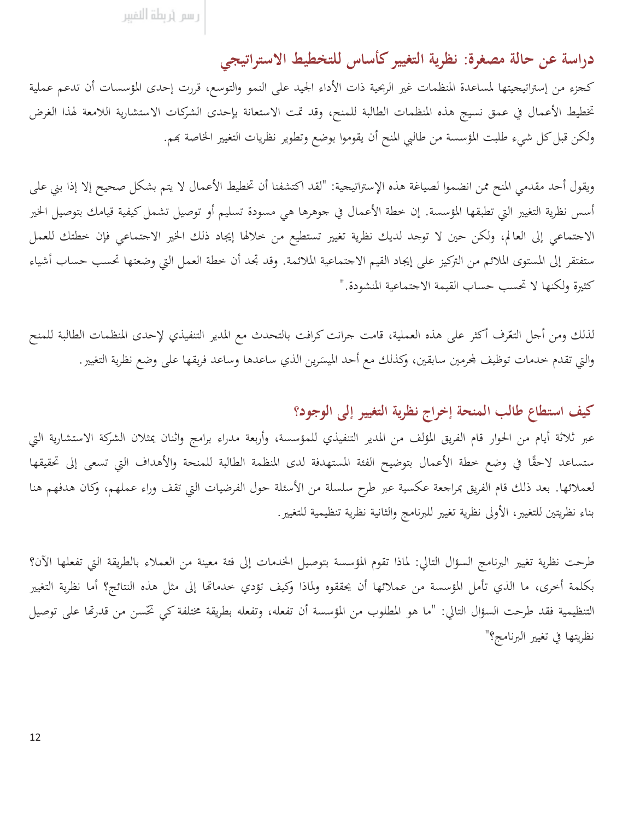رسم أربطة النفببر

## دراسة عن حالة مصغرة: نظرية التغيير كأساس للتخطيط الاستراتيجي

كحزء من إستراتيجيتها لمساعدة المنظمات غير الربحية ذات الأداء الجيد على النمو والتوسع، قررت إحدى المؤسسات أن تدعم عملية تخطيط الأعمال في عمق نسيج هذه المنظمات الطالبة للمنح، وقد تمت الاستعانة بإحدى الشركات الاستشارية اللامعة لهذا الغرض ولكن قبل كل شيء طلبت المؤسسة من طالبي المنح أن يقوموا بوضع وتطوير نظريات التغيير الخاصة بحم.

ويقول أحد مقدمي المنح ممن انضموا لصياغة هذه الإستراتيحية: "لقد اكتشفنا أن تخطيط الأعمال لا يتم بشكل صحيح إلا إذا بني على أسس نظرية التغيير التي تطبقها المؤسسة. إن خطة الأعمال في جوهرها هي مسودة تسليم أو توصيل تشمل كيفية قيامك بتوصيل الخير الاجتماعي إلى العالم، ولكن حين لا توجد لديك نظرية تغيير تستطيع من خلالها إيجاد ذلك الخير الاجتماعي فإن خطتك للعمل ستفتقر إلى المستوى الملائم من التركيز على إيجاد القيم الاجتماعية الملائمة. وقد تجد أن خطة العمل التي وضعتها تحسب حساب أشياء كثيرة ولكنها لا تحسب حساب القيمة الاجتماعية المنشودة."

لذلك ومن أجل التعّرف أكثر على هذه العملية، قامت جرانت كرافت بالتحدث مع المدير التنفيذي لإحدى المنظمات الطالبة للمنح والتي تقدم حدمات توظيف لمحرمين سابقين، وكذلك مع أحد الميسَرين الذي ساعدها وساعد فريقها على وضع نظرية التغيير .

#### كيف استطاع طالب المنحة إخراج نظرية التغيير إلى الوجود؟

عبر ثلاثة أيام من الحوار قام الفريق المؤلف من المدير التنفيذي للمؤسسة، وأربعة مدراء برامج واثنان يمثلان الشركة الاستشارية التي ستساعد لاحقًا في وضع خطة الأعمال بتوضيح الفئة المستهدفة لدى المنظمة الطالبة للمنحة والأهداف التي تسعى إلى تحقيقها لعملائها. بعد ذلك قام الفريق بمراجعة عكسية عبر طرح سلسلة من الأسئلة حول الفرضيات التي تقف وراء عملهم، وكان هدفهم هنا بناء نظريتين للتغيير، الأولى نظرية تغيير للبرنامج والثانية نظرية تنظيمية للتغيير.

طرحت نظرية تغيير البرنامج السؤال التالي: لماذا تقوم المؤسسة بتوصيل الخدمات إلى فئة معينة من العملاء بالطريقة التي تفعلها الآن؟ بكلمة أخرى، ما الذي تأمل المؤسسة من عملائها أن يحققوه ولماذا وكيف تؤدي خدماتها إلى مثل هذه النتائج؟ أما نظرية التغيير التنظيمية فقد طرحت السؤال التالي: "ما هو المطلوب من المؤسسة أن تفعله، وتفعله بطريقة مختلفة كي تخَّسن من قدرتما على توصيل نظريتها في تغيير البرنامج؟"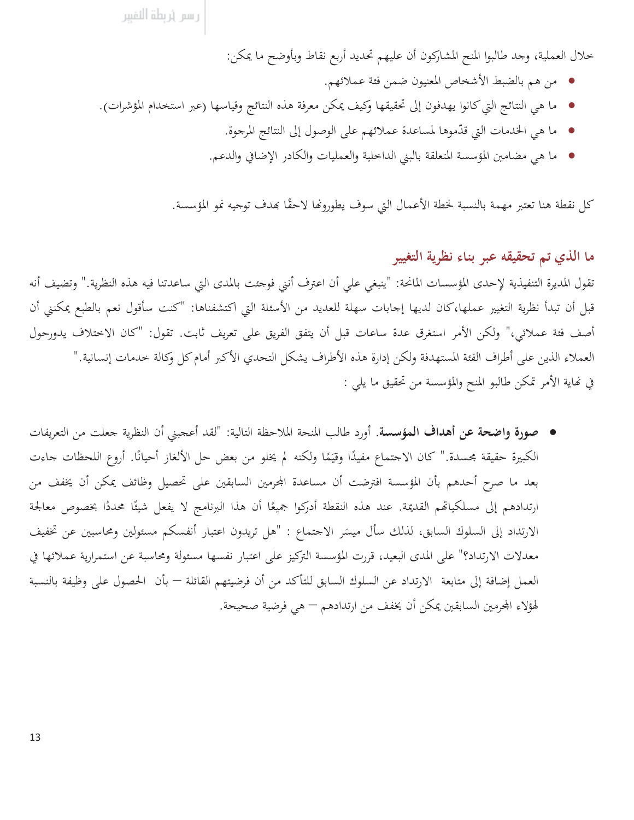خلال العملية، وجد طالبوا المنح المشاركون أن عليهم تحديد أربع نقاط وبأوضح ما يمكن:

- من هم بالضبط الأشخاص المعنيون ضمن فئة عملائهم.
- ما هي النتائج التي كانوا يهدفون إلى تحقيقها وكيف يمكن معرفة هذه النتائج وقياسها (عبر استخدام المؤشرات).
	- ما هي الخدمات التي قدَّموها لمساعدة عملائهم على الوصول إلى النتائج المرحوة.
	- ما هي مضامين المؤسسة المتعلقة بالبني الداخلية والعمليات والكادر الإضافي والدعم.

كل نقطة هنا تعتبر مهمة بالنسبة لخطة الأعمال التي سوف يطورونها لاحقًا بهدف توجيه نمو المؤسسة.

ما الذي تم تحقيقه عبر بناء نظرية التغيير

تقول المديرة التنفيذية لإحدى المؤسسات المانحة: "ينبغي على أن اعترف أنني فوجئت بالمدى التي ساعدتنا فيه هذه النظرية." وتضيف أنه قبل أن تبدأ نظرية التغيير عملها،كان لديها إجابات سهلة للعديد من الأسئلة التي اكتشفناها: "كنت سأقول نعم بالطبع يمكنني أن أصف فئة عملائي،" ولكن الأمر استغرق عدة ساعات قبل أن يتفق الفريق على تعريف ثابت. تقول: "كان الاختلاف يدورحول العملاء الذين على أطراف الفئة المستهدفة ولكن إدارة هذه الأطراف يشكل التحدي الأكبر أمام كل وكالة خدمات إنسانية." في نهاية الأمر تمكن طالبو المنح والمؤسسة من تحقيق ما يلي :

• صورة واضحة عن أهداف المؤسسة. أورد طالب المنحة الملاحظة التالية: "لقد أعجبني أن النظرية جعلت من التعريفات الكبيرة حقيقة محسدة." كان الاجتماع مفيدًا وقيَمًا ولكنه لم يخلو من بعض حل الألغاز أحيانًا. أروع اللحظات جاءت بعد ما صرح أحدهم بأن المؤسسة افترضت أن مساعدة المحرمين السابقين على تحصيل وظائف يمكن أن يخفف من ارتدادهم إلى مسلكياتهم القديمة. عند هذه النقطة أدركوا جميعًا أن هذا البرنامج لا يفعل شيئًا محددًا بخصوص معالجة الارتداد إلى السلوك السابق، لذلك سأل ميسَر الاحتماع : "هل تريدون اعتبار أنفسكم مسئولين ومحاسبين عن تخفيف معدلات الارتداد؟" على المدى البعيد، قررت المؤسسة التركيز على اعتبار نفسها مسئولة ومحاسبة عن استمرارية عملائها في العمل إضافة إلى متابعة الارتداد عن السلوك السابق للتأكد من أن فرضيتهم القائلة — بأن الحصول على وظيفة بالنسبة لهؤلاء المحرمين السابقين يمكن أن يخفف من ارتدادهم — هي فرضية صحيحة.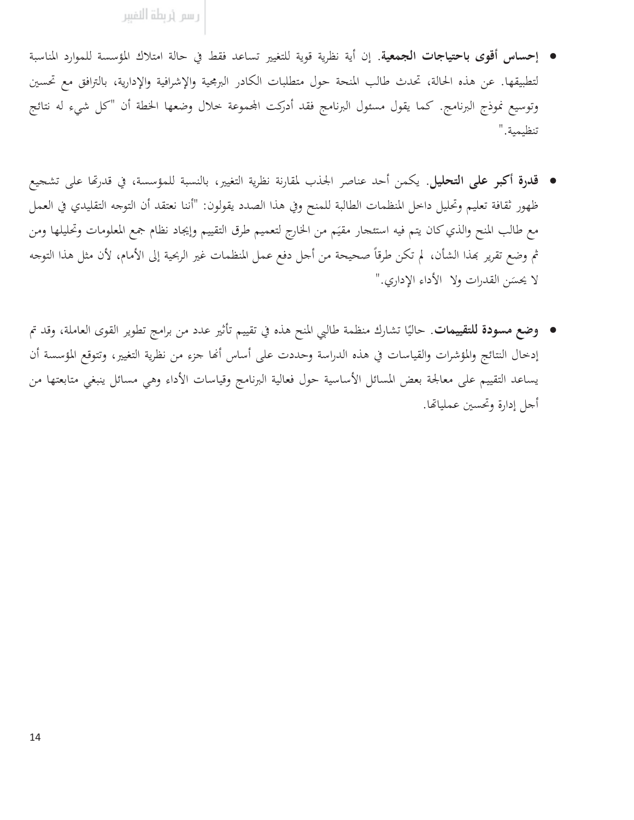- إحساس أقوى باحتياجات الجمعية. إن أية نظرية قوية للتغيير تساعد فقط في حالة امتلاك المؤسسة للموارد المناسبة لتطبيقها. عن هذه الحالة، تحدث طالب المنحة حول متطلبات الكادر البرمجية والإشرافية والإدارية، بالترافق مع تحسين وتوسيع نموذج البرنامج. كما يقول مسئول البرنامج فقد أدركت المحموعة خلال وضعها الخطة أن "كل شيء له نتائج تنظيمية."
- قدرة أكبر على التحليل. يكمن أحد عناصر الجذب لمقارنة نظرية التغيير، بالنسبة للمؤسسة، في قدرتها على تشجيع ظهور ثقافة تعليم وتحليل داخل المنظمات الطالبة للمنح وفي هذا الصدد يقولون: "أننا نعتقد أن التوجه التقليدي في العمل مع طالب المنح والذي كان يتم فيه استئحار مقيَم من الخارج لتعميم طرق التقييم وإيجاد نظام جمع المعلومات وتحليلها ومن ثم وضع تقرير بمذا الشأن، لم تكن طرقاً صحيحة من أحل دفع عمل المنظمات غير الربحية إلى الأمام، لأن مثل هذا التوجه لا يحسَن القدرات ولا الأداء الإداري."
- وضع مسودة للتقييمات. حاليًا تشارك منظمة طالبي المنح هذه في تقييم تأثير عدد من برامج تطوير القوى العاملة، وقد تم إدخال النتائج والمؤشرات والقياسات في هذه الدراسة وحددت على أساس أنها جزء من نظرية التغيير، وتتوقع المؤسسة أن يساعد التقييم على معالجة بعض المسائل الأساسية حول فعالية البرنامج وقياسات الأداء وهي مسائل ينبغي متابعتها من أجل إدارة وتحسين عملياتها.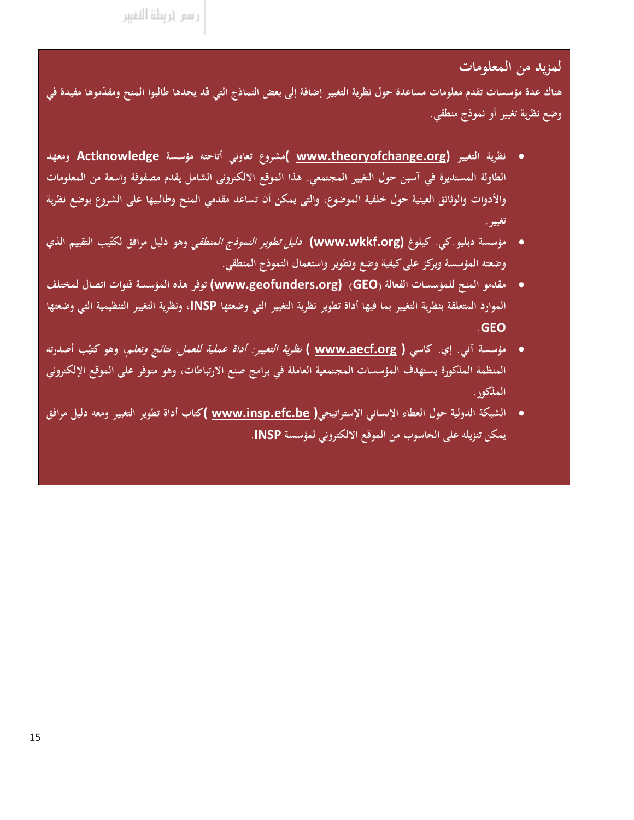#### لمزيد من المعلومات

هناك عدة مؤسسات تقدم معلومات مساعدة حول نظرية التغيير إضافة إلى بعض النماذج التي قد يجدها طالبوا المنح ومقدّموها مفيدة في وضع نظرية تغيير أو نموذج منطقي.

- نظرية التغيير (www.theoryofchange.org )مشروع تعاوني أتاحته مؤسسة Actknowledge ومعهد الطاولة المستديرة في آسبن حول التغيير المجتمعي. هذا الموقع الالكتروني الشامل يقدم مصفوفة واسعة من المعلومات والأدوات والوثائق العينية حول خلفية الموضوع، والتي يمكن أن تساعد مقدمي المنح وطالبيها على الشروع بوضع نظرية تغيير .
- مؤسسة دبليو كي. كيلوغ **(www.wkkf.org)** *دليل تطوير النموذج المنطقي* **وهو دل**يل مرافق لكتّيب التقييم الذي وضعته المؤسسة ويركز على كيفية وضع وتطوير واستعمال النموذج المنطقي.
- مقدمو المنح للمؤسسات الفعالة (GEO) (www.geofunders.org) توفر هذه المؤسسة قنوات اتصال لمختلف  $\bullet$ الموارد المتعلقة بنظرية التغيير بما فيها أداة تطوير نظرية التغيير التي وضعتها INSP، ونظرية التغيير التنظيمية التي وضعتها **GEO**
- مؤسسة آني. إي. كاسي ( <u>www.aecf.org )</u> *نظرية التغيير: أداة عملية للعمل، نتائج وتعلم*، وهو كتيّب أصدرته المنظمة المذكورة يستهدف المؤسسات المجتمعية العاملة في برامج صنع الارتباطات، وهو متوفر على الموقع الإلكتروني المذكور .
- الشبكة الدولية حول العطاء الإنساني الإستراتيجي( www.insp.efc.be )كتاب أداة تطوير التغيير ومعه دليل مرافق  $\bullet$ يمكن تنزيله على الحاسوب من الموقع الالكتروني لمؤسسة INSP.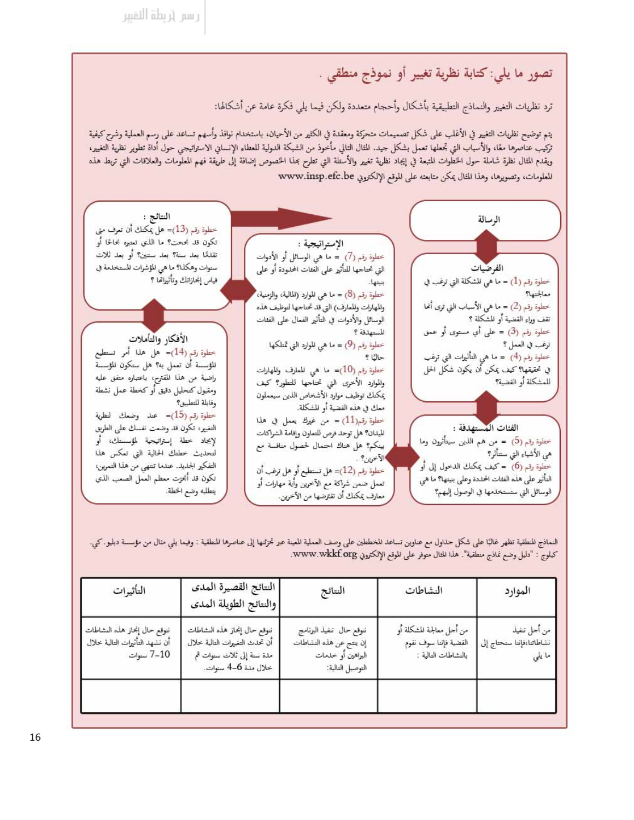# تصور ما يلي: كتابة نظرية تغيير أو نموذج منطقي .

ترد نظريات التغيير والنماذج التطبيقية بأشكال وأحجام متعددة ولكن فيما يلي فكرة عامة عن أشكالها:

يتم توضيح نظريات التغيير في الأغلب على شكل تصميمات متحركة ومعقدة في الكثير من الأحيان، باستخدام نوافذ وأسهم تساعد على رسم العملية وشرح كيفية تركيب عناصرها معًا، والأسباب التي تجعلها تعمل بشكل جيد. للثال التالي مأخوذ من الشبكة الدولية للعطاء الإنساني الاستراتيجي حول أداة تطوير نظرية التغيير، ويقدم المثال نظرة شاملة حول الخطوات المتبعة في إيجاد نظرية تغيير والأسئلة التي تطرح بمذا الخصوص إضافة إلى طريقة فهم المعلومات والعلاقات التي تربط هذه المعلومات، وتصويرها، وهذا المثال يمكن متابعته على الموقع الإلكتروني www.insp.efc.be



النماذج للنطقية تظهر غالبًا على شكل حداول مع عناوين تساعد للخططين على وصف العملية المعينة عبر تجزئتها إلى عناصرها للنطقية : وفيما يلي مثال من مؤسسة دبليو . كي. كيلوج : "دليل وضع نماذج منطقية". هذا للغال متوفر على للوقع الإلكتروني www.wkkf.org.

| التأثيرات                                                                    | النتائج القصيرة المدى<br>أوالنتائج الطويلة المدى                                                                   | النتائج                                                                                       | النشاطات                                                                | الموارد                                             |
|------------------------------------------------------------------------------|--------------------------------------------------------------------------------------------------------------------|-----------------------------------------------------------------------------------------------|-------------------------------------------------------------------------|-----------------------------------------------------|
| نتوقع حال إنحاز هذه النشاطات<br>أن نشهد التأثيرات التالية خلال<br>7-10 سنوات | نتوقع حال إنحاز هذه النشاطات<br>أن تحدث التغييرات التالية خلال<br>ملة سنة إلى ثلاث سنوات ثم<br>خلال ملة 4-6 سنوات. | نتوقع حال تنفيذ البرنامج<br>إن ينتج عن هذه النشاطات<br>البراهين أو خلىمات<br>التوصيل التالية: | من أجل معالجة للشكلة أو<br>القضية فإننا سوف نقوم<br>بالنشاطات التالية : | من أحل تنفيذ<br>نشاطاتنا،فإننا سنحتاج إلى<br>ما يلي |
|                                                                              |                                                                                                                    |                                                                                               |                                                                         |                                                     |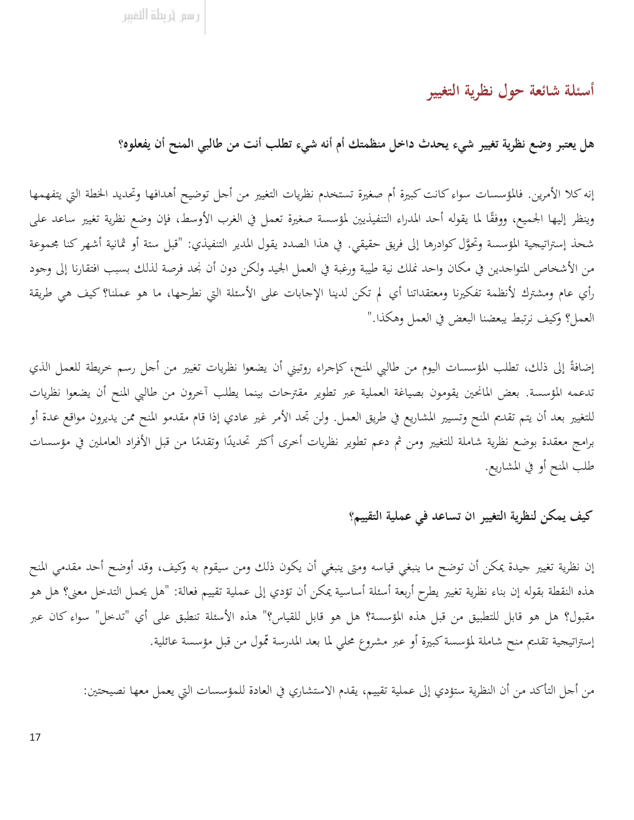أسئلة شائعة حول نظرية التغيير

هل يعتبر وضع نظرية تغيير شيء يحدث داخل منظمتك أم أنه شيء تطلب أنت من طالبي المنح أن يفعلوه؟

إنه كلا الأمرين. فالمؤسسات سواء كانت كبيرة أم صغيرة تستخدم نظريات التغيير من أجل توضيح أهدافها وتحديد الخطة التي يتفهمها وينظر إليها الجميع، ووفقًا لما يقوله أحد المدراء التنفيذيين لمؤسسة صغيرة تعمل في الغرب الأوسط، فإن وضع نظرية تغيير ساعد على شحذ إستراتيجية المؤسسة وتحوَّل كوادرها إلى فريق حقيقي. في هذا الصدد يقول المدير التنفيذي: "قبل ستة أو ثمانية أشهر كنا مجموعة من الأشخاص المتواجدين في مكان واحد نملك نية طيبة ورغبة في العمل الجيد ولكن دون أن نجد فرصة لذلك بسبب افتقارنا إلى وجود رأي عام ومشترك لأنظمة تفكيرنا ومعتقداتنا أي لم تكن لدينا الإجابات على الأسئلة التي نطرحها، ما هو عملنا؟ كيف هي طريقة العمل؟ وكيف نرتبط يبعضنا البعض في العمل وهكذا."

إضافةً إلى ذلك، تطلب المؤسسات اليوم من طالبي المنح، كإجراء روتيني أن يضعوا نظريات تغيير من أجل رسم خريطة للعمل الذي تدعمه المؤسسة. بعض المانحين يقومون بصياغة العملية عبر تطوير مقترحات بينما يطلب آخرون من طالبي المنح أن يضعوا نظريات للتغيير بعد أن يتم تقديم المنح وتسيير المشاريع في طريق العمل. ولن تجد الأمر غير عادي إذا قام مقدمو المنح ممن يديرون مواقع عدة أو برامج معقدة بوضع نظرية شاملة للتغيير ومن ثم دعم تطوير نظريات أخرى أكثر تحديدًا وتقدمًا من قبل الأفراد العاملين في مؤسسات طلب المنح أو في المشاريع.

#### كيف يمكن لنظرية التغيير ان تساعد في عملية التقييم؟

إن نظرية تغيير جيدة يمكن أن توضح ما ينبغي قياسه ومتى ينبغي أن يكون ذلك ومن سيقوم به وكيف، وقد أوضح أحد مقدمي المنح هذه النقطة بقوله إن بناء نظرية تغيير يطرح أربعة أسئلة أساسية يمكن أن تؤدي إلى عملية تقييم فعالة: "هل يحمل التدخل معنى؟ هل هو مقبول؟ هل هو قابل للتطبيق من قبل هذه المؤسسة؟ هل هو قابل للقياس؟" هذه الأسئلة تنطبق على أي "تدخل" سواء كان عبر إستراتيجية تقديم منح شاملة لمؤسسة كبيرة أو عبر مشروع محلى لما بعد المدرسة تمول من قبل مؤسسة عائلية.

من أجل التأكد من أن النظرية ستؤدي إلى عملية تقييم، يقدم الاستشاري في العادة للمؤسسات التي يعمل معها نصيحتين: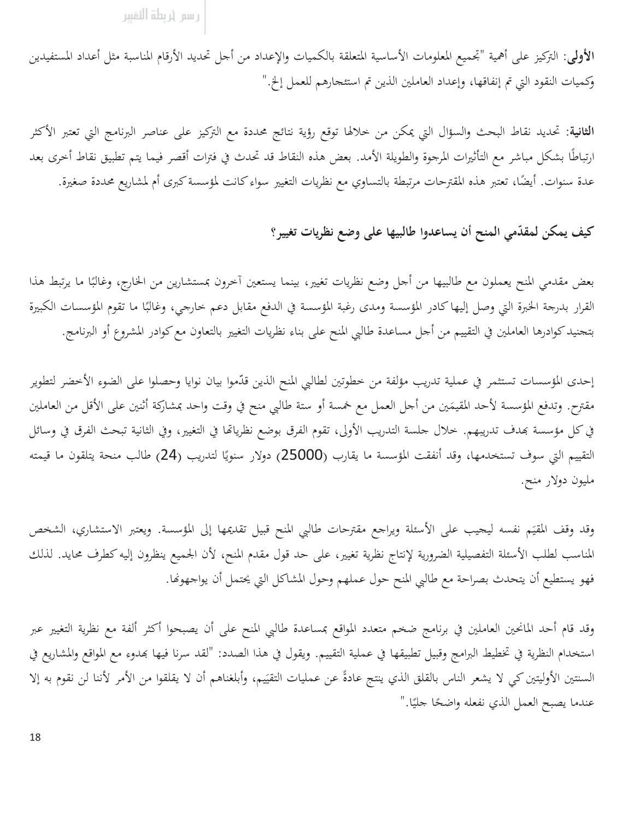رسم أربطة النفببر

الأولى: التركيز على أهمية "تجميع المعلومات الأساسية المتعلقة بالكميات والإعداد من أحل تحديد الأرقام المناسبة مثل أعداد المستفيدين وكميات النقود التي تم إنفاقها، وإعداد العاملين الذين تم استئحارهم للعمل إلخ."

**الثانية**: تحديد نقاط البحث والسؤال التي يمكن من خلالها توقع رؤية نتائج محددة مع التركيز على عناصر البرنامج التي تعتبر الأكثر ارتباطًا بشكل مباشر مع التأثيرات المرجوة والطويلة الأمد. بعض هذه النقاط قد تحدث في فترات أقصر فيما يتم تطبيق نقاط أخرى بعد عدة سنوات. أيضًا، تعتبر هذه المقترحات مرتبطة بالتساوي مع نظريات التغيير سواء كانت لمؤسسة كبرى أم لمشاريع محددة صغيرة.

#### كيف يمكن لمقدّمي المنح أن يساعدوا طالبيها على وضع نظريات تغيير؟

بعض مقدمي المنح يعملون مع طالبيها من أحل وضع نظريات تغيير، بينما يستعين آخرون بمستشارين من الخارج، وغالبًا ما يرتبط هذا القرار بدرجة الخبرة التي وصل إليها كادر المؤسسة ومدى رغبة المؤسسة في الدفع مقابل دعم حارجي، وغالبًا ما تقوم المؤسسات الكبيرة بتحنيد كوادرها العاملين في التقييم من أحل مساعدة طالبي المنح على بناء نظريات التغيير بالتعاون مع كوادر المشروع أو البرنامج.

إحدى المؤسسات تستثمر في عملية تدريب مؤلفة من خطوتين لطالبي المنح الذين قدّموا بيان نوايا وحصلوا على الضوء الأخضر لتطوير مقترح. وتدفع المؤسسة لأحد المقيمَين من أحل العمل مع خمسة أو ستة طالبي منح في وقت واحد بمشاركة أثنين على الأقل من العاملين في كل مؤسسة بمدف تدريبهم. خلال حلسة التدريب الأولى، تقوم الفرق بوضع نظرياتها في التغيير، وفي الثانية تبحث الفرق في وسائل التقييم التي سوف تستخدمها، وقد أنفقت المؤسسة ما يقارب (25000) دولار سنويًا لتدريب (24) طالب منحة يتلقون ما قيمته مليون دولار منح.

وقد وقف المقيَم نفسه ليحيب على الأسئلة ويراجع مقترحات طالبي المنح قبيل تقديمها إلى المؤسسة. ويعتبر الاستشاري، الشخص المناسب لطلب الأسئلة التفصيلية الضرورية لإنتاج نظرية تغيير، على حد قول مقدم المنح، لأن الجميع ينظرون إليه كطرف محايد. لذلك فهو يستطيع أن يتحدث بصراحة مع طالبي المنح حول عملهم وحول المشاكل التي يحتمل أن يواجهونها.

وقد قام أحد المانحين العاملين في برنامج ضخم متعدد المواقع بمساعدة طالبي المنح على أن يصبحوا أكثر ألفة مع نظرية التغيير عبر استخدام النظرية في تخطيط البرامج وقبيل تطبيقها في عملية التقييم. ويقول في هذا الصدد: "لقد سرنا فيها بهدوء مع المواقع والمشاريع في السنتين الأوليتين كي لا يشعر الناس بالقلق الذي ينتج عادةً عن عمليات التقيّيم، وأبلغناهم أن لا يقلقوا من الأمر لأننا لن نقوم به إلا عندما يصبح العمل الذي نفعله واضحًا حليًا."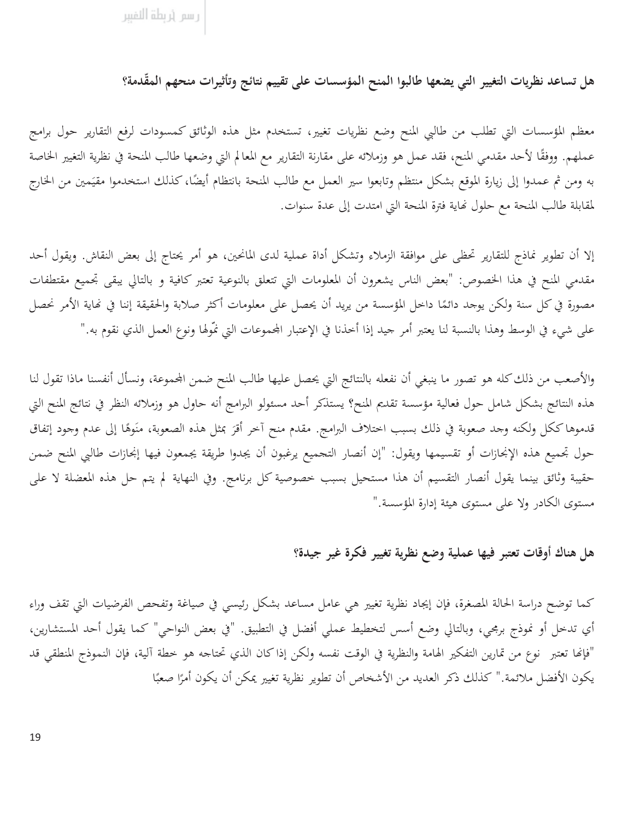هل تساعد نظريات التغيير التي يضعها طالبوا المنح المؤسسات على تقييم نتائج وتأثيرات منحهم المقّدمة؟

معظم المؤسسات التي تطلب من طالبي المنح وضع نظريات تغيير، تستخدم مثل هذه الوثائق كمسودات لرفع التقارير حول برامج عملهم. ووفقًا لأحد مقدمي المنح، فقد عمل هو وزملائه على مقارنة التقارير مع المعالم التي وضعها طالب المنحة في نظرية التغيير الخاصة به ومن ثم عمدوا إلى زيارة الموقع بشكل منتظم وتابعوا سير العمل مع طالب المنحة بانتظام أيضًا، كذلك استخدموا مقيَمين من الخارج لمقابلة طالب المنحة مع حلول نهاية فترة المنحة التي امتدت إلى عدة سنوات.

إلا أن تطوير نماذج للتقارير تحظى على موافقة الزملاء وتشكل أداة عملية لدى المانحين، هو أمر يحتاج إلى بعض النقاش. ويقول أحد مقدمي المنح في هذا الخصوص: "بعض الناس يشعرون أن المعلومات التي تتعلق بالنوعية تعتبر كافية و بالتالي يبقى تجميع مقتطفات مصورة في كل سنة ولكن يوحد دائمًا داخل المؤسسة من يريد أن يحصل على معلومات أكثر صلابة والحقيقة إننا في نماية الأمر نحصل على شيء في الوسط وهذا بالنسبة لنا يعتبر أمر جيد إذا أخذنا في الإعتبار المحموعات التي نمّولها ونوع العمل الذي نقوم به."

والأصعب من ذلك كله هو تصور ما ينبغي أن نفعله بالنتائج التي يحصل عليها طالب المنح ضمن المحموعة، ونسأل أنفسنا ماذا تقول لنا هذه النتائج بشكل شامل حول فعالية مؤسسة تقديم المنح؟ يستذكر أحد مسئولو البرامج أنه حاول هو وزملائه النظر في نتائج المنح التي قدموها ككل ولكنه وحد صعوبة في ذلك بسبب اختلاف البرامج. مقدم منح آخر أقرَ بمثل هذه الصعوبة، منَوهًا إلى عدم وجود إتفاق حول تجميع هذه الإنجازات أو تقسيمها ويقول: "إن أنصار التحميع يرغبون أن يجدوا طريقة يجمعون فيها إنجازات طالبي المنح ضمن حقيبة وثائق بينما يقول أنصار التقسيم أن هذا مستحيل بسبب خصوصية كل برنامج. وفي النهاية لم يتم حل هذه المعضلة لا على مستوى الكادر ولا على مستوى هيئة إدارة المؤسسة."

هل هناك أوقات تعتبر فيها عملية وضع نظرية تغيير فكرة غير جيدة؟

كما توضح دراسة الحالة المصغرة، فإن إيجاد نظرية تغيير هي عامل مساعد بشكل رئيسي في صياغة وتفحص الفرضيات التي تقف وراء أي تدخل أو نموذج برمجي، وبالتالي وضع أسس لتخطيط عملي أفضل في التطبيق. "في بعض النواحي" كما يقول أحد المستشارين، "فإنما تعتبر نوع من تمارين التفكير الهامة والنظرية في الوقت نفسه ولكن إذاكان الذي تحتاجه هو خطة آلية، فإن النموذج المنطقي قد يكون الأفضل ملائمة." كذلك ذكر العديد من الأشخاص أن تطوير نظرية تغيير يمكن أن يكون أمرًا صعبًا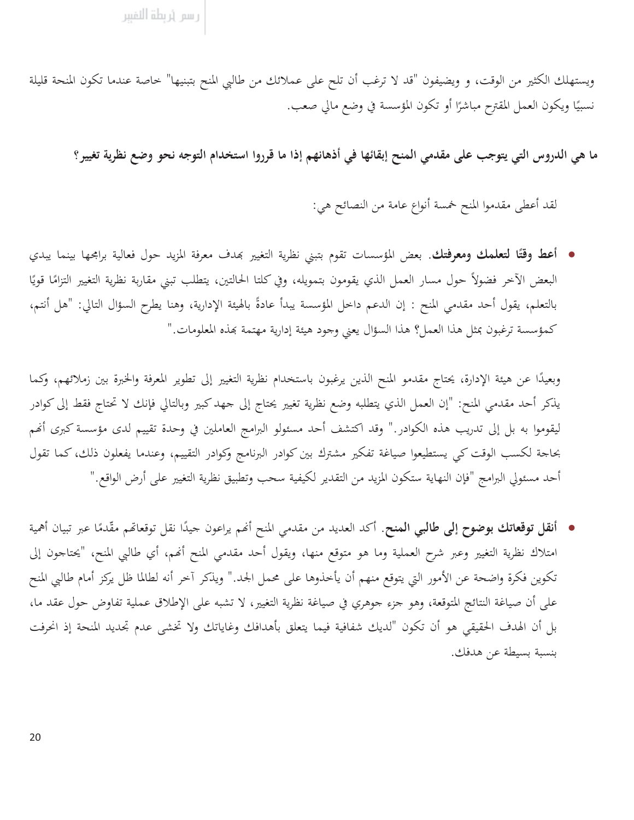ويستهلك الكثير من الوقت، و ويضيفون "قد لا ترغب أن تلح على عملائك من طالبي المنح بتبنيها" خاصة عندما تكون المنحة قليلة نسبيًا ويكون العمل المقترح مباشرًا أو تكون المؤسسة في وضع مالي صعب.

ما هي الدروس التي يتوجب على مقدمي المنح إبقائها في أذهانهم إذا ما قرروا استخدام التوجه نحو وضع نظرية تغيير؟

لقد أعطى مقدموا المنح خمسة أنواع عامة من النصائح هي:

• أعط وقتًا لتعلمك ومعوفتك. بعض المؤسسات تقوم بتبني نظرية التغيير بمدف معرفة المزيد حول فعالية برامجها بينما يبدي البعض الآخر فضولاً حول مسار العمل الذي يقومون بتمويله، وفي كلتا الحالتين، يتطلب تبني مقاربة نظرية التغيير التزامًا قويًا بالتعلم، يقول أحد مقدمي المنح : إن الدعم داخل المؤسسة يبدأ عادةً بالهيئة الإدارية، وهنا يطرح السؤال التالي: "هل أنتم، كمؤسسة ترغبون بمثل هذا العمل؟ هذا السؤال يعني وجود هيئة إدارية مهتمة بهذه المعلومات."

وبعيدًا عن هيئة الإدارة، يحتاج مقدمو المنح الذين يرغبون باستخدام نظرية التغيير إلى تطوير المعرفة والخبرة بين زملائهم، وكما يذكر أحد مقدمي المنح: "إن العمل الذي يتطلبه وضع نظرية تغيير يحتاج إلى جهد كبير وبالتالي فإنك لا تحتاج فقط إلى كوادر ليقوموا به بل إلى تدريب هذه الكوادر ." وقد اكتشف أحد مسئولو البرامج العاملين في وحدة تقييم لدى مؤسسة كبرى أنهم بحاجة لكسب الوقت كي يستطيعوا صياغة تفكير مشترك بين كوادر البرنامج وكوادر التقييم، وعندما يفعلون ذلك، كما تقول أحد مسئولي البرامج "فإن النهاية ستكون المزيد من التقدير لكيفية سحب وتطبيق نظرية التغيير على أرض الواقع."

• أنقل توقعاتك بوضوح إلى طالبي المنح. أكد العديد من مقدمي المنح أنهم يراعون جيدًا نقل توقعاتهم مقّدمًا عبر تبيان أهمية امتلاك نظرية التغيير وعبر شرح العملية وما هو متوقع منها، ويقول أحد مقدمي المنح أنهم، أي طالبي المنح، "يحتاجون إلى تكوين فكرة واضحة عن الأمور التي يتوقع منهم أن يأخذوها على محمل الجد." ويذكر آخر أنه لطالما ظل يركز أمام طالبي المنح على أن صياغة النتائج المتوقعة، وهو جزء جوهري في صياغة نظرية التغيير، لا تشبه على الإطلاق عملية تفاوض حول عقد ما، بل أن الهدف الحقيقي هو أن تكون "لديك شفافية فيما يتعلق بأهدافك وغاياتك ولا تخشى عدم تجديد المنحة إذ انحرفت بنسبة بسيطة عن هدفك.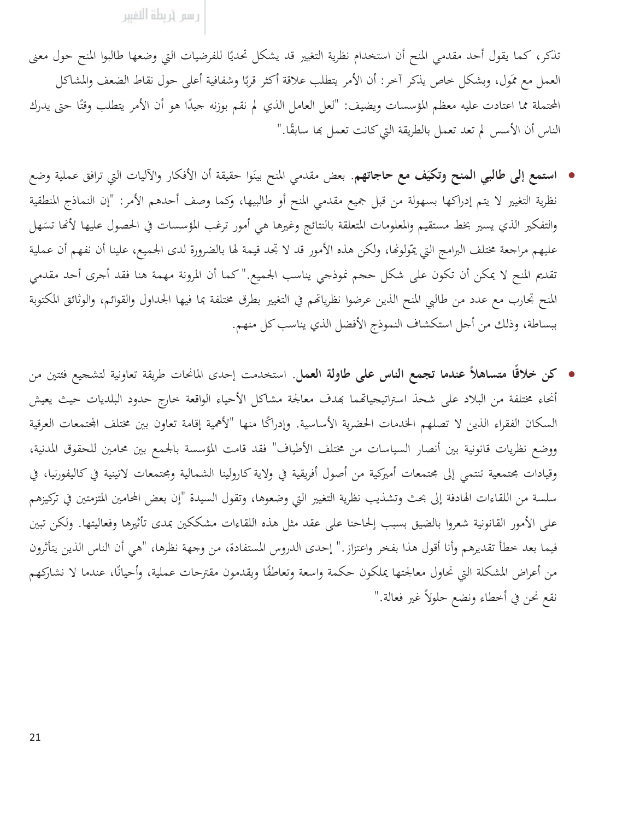تذكر، كما يقول أحد مقدمي المنح أن استخدام نظرية التغيير قد يشكل تحديًا للفرضيات التي وضعها طالبوا المنح حول معنى العمل مع ممَول، وبشكل حاص يذكر آخر: أن الأمر يتطلب علاقة أكثر قربًا وشفافية أعلى حول نقاط الضعف والمشاكل المحتملة مما اعتادت عليه معظم المؤسسات ويضيف: "لعل العامل الذي لم نقم بوزنه جيدًا هو أن الأمر يتطلب وقتًا حتى يدرك الناس أن الأسس لم تعد تعمل بالطريقة التي كانت تعمل بها سابقًا."

- استمع إلى طالبي المنح وتكيَف مع حاجاتهم. بعض مقدمي المنح بينَوا حقيقة أن الأفكار والآليات التي ترافق عملية وضع نظرية التغيير لا يتم إدراكها بسهولة من قبل جميع مقدمي المنح أو طالبيها، وكما وصف أحدهم الأمر: "إن النماذج المنطقية والتفكير الذي يسير بخط مستقيم والمعلومات المتعلقة بالنتائج وغيرها هي أمور ترغب المؤسسات في الحصول عليها لأنها تسَهل عليهم مراجعة مختلف البرامج التي يمّولونها، ولكن هذه الأمور قد لا تجد قيمة لها بالضرورة لدى الجميع، علينا أن نفهم أن عملية تقديم المنح لا يمكن أن تكون على شكل حجم نموذجي يناسب الجميع."كما أن المرونة مهمة هنا فقد أجرى أحد مقدمي المنح تحارب مع عدد من طالبي المنح الذين عرضوا نظرياتهم في التغيير بطرق مختلفة بما فيها الجداول والقوائم، والوثائق المكتوبة ببساطة، وذلك من أجل استكشاف النموذج الأفضل الذي يناسب كل منهم.
- كن خلاقًا متساهلاً عندما تجمع الناس على طاولة العمل. استخدمت إحدى المانحات طريقة تعاونية لتشجيع فئتين من أنحاء مختلفة من البلاد على شحذ استراتيجياتهما بمدف معالجة مشاكل الأحياء الواقعة خارج حدود البلديات حيث يعيش السكان الفقراء الذين لا تصلهم الخدمات الحضرية الأساسية. وإدراكًا منها "لأهمية إقامة تعاون بين مختلف المحتمعات العرقية ووضع نظريات قانونية بين أنصار السياسات من مختلف الأطياف" فقد قامت المؤسسة بالجمع بين محامين للحقوق المدنية، وقيادات محتمعية تنتمي إلى محتمعات أميركية من أصول أفريقية في ولاية كارولينا الشمالية ومحتمعات لاتينية في كاليفورنيا، في سلسة من اللقاءات الهادفة إلى بحث وتشذيب نظرية التغيير التي وضعوها، وتقول السيدة "إن بعض المحامين المتزمتين في تركيزهم على الأمور القانونية شعروا بالضيق بسبب إلحاحنا على عقد مثل هذه اللقاءات مشككين بمدى تأثيرها وفعاليتها. ولكن تبين فيما بعد خطأ تقديرهم وأنا أقول هذا بفخر واعتزاز." إحدى الدروس المستفادة، من وجهة نظرها، "هي أن الناس الذين يتأثرون من أعراض المشكلة التي نحاول معالجتها يملكون حكمة واسعة وتعاطفًا ويقدمون مقترحات عملية، وأحيانًا، عندما لا نشاركهم نقع نحن في أخطاء ونضع حلولاً غير فعالة."